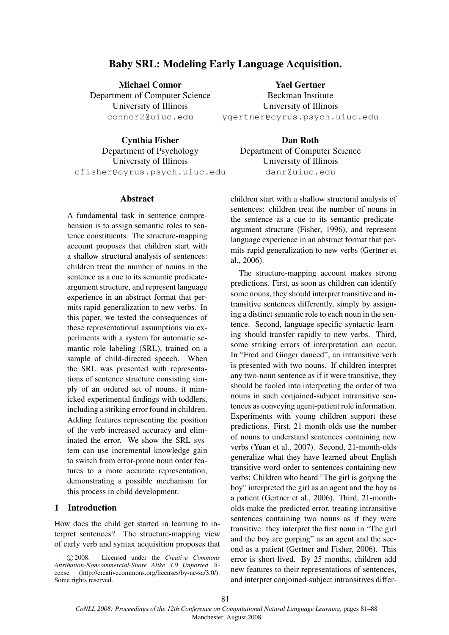# Baby SRL: Modeling Early Language Acquisition.

Michael Connor Department of Computer Science University of Illinois connor2@uiuc.edu

Yael Gertner Beckman Institute University of Illinois ygertner@cyrus.psych.uiuc.edu

Cynthia Fisher Department of Psychology University of Illinois cfisher@cyrus.psych.uiuc.edu

#### Abstract

A fundamental task in sentence comprehension is to assign semantic roles to sentence constituents. The structure-mapping account proposes that children start with a shallow structural analysis of sentences: children treat the number of nouns in the sentence as a cue to its semantic predicateargument structure, and represent language experience in an abstract format that permits rapid generalization to new verbs. In this paper, we tested the consequences of these representational assumptions via experiments with a system for automatic semantic role labeling (SRL), trained on a sample of child-directed speech. When the SRL was presented with representations of sentence structure consisting simply of an ordered set of nouns, it mimicked experimental findings with toddlers, including a striking error found in children. Adding features representing the position of the verb increased accuracy and eliminated the error. We show the SRL system can use incremental knowledge gain to switch from error-prone noun order features to a more accurate representation, demonstrating a possible mechanism for this process in child development.

# 1 Introduction

How does the child get started in learning to interpret sentences? The structure-mapping view of early verb and syntax acquisition proposes that

Dan Roth Department of Computer Science University of Illinois danr@uiuc.edu

children start with a shallow structural analysis of sentences: children treat the number of nouns in the sentence as a cue to its semantic predicateargument structure (Fisher, 1996), and represent language experience in an abstract format that permits rapid generalization to new verbs (Gertner et al., 2006).

The structure-mapping account makes strong predictions. First, as soon as children can identify some nouns, they should interpret transitive and intransitive sentences differently, simply by assigning a distinct semantic role to each noun in the sentence. Second, language-specific syntactic learning should transfer rapidly to new verbs. Third, some striking errors of interpretation can occur. In "Fred and Ginger danced", an intransitive verb is presented with two nouns. If children interpret any two-noun sentence as if it were transitive, they should be fooled into interpreting the order of two nouns in such conjoined-subject intransitive sentences as conveying agent-patient role information. Experiments with young children support these predictions. First, 21-month-olds use the number of nouns to understand sentences containing new verbs (Yuan et al., 2007). Second, 21-month-olds generalize what they have learned about English transitive word-order to sentences containing new verbs: Children who heard "The girl is gorping the boy" interpreted the girl as an agent and the boy as a patient (Gertner et al., 2006). Third, 21-montholds make the predicted error, treating intransitive sentences containing two nouns as if they were transitive: they interpret the first noun in "The girl and the boy are gorping" as an agent and the second as a patient (Gertner and Fisher, 2006). This error is short-lived. By 25 months, children add new features to their representations of sentences, and interpret conjoined-subject intransitives differ-

81

<sup>°</sup>c 2008. Licensed under the *Creative Commons Attribution-Noncommercial-Share Alike 3.0 Unported* license (http://creativecommons.org/licenses/by-nc-sa/3.0/). Some rights reserved.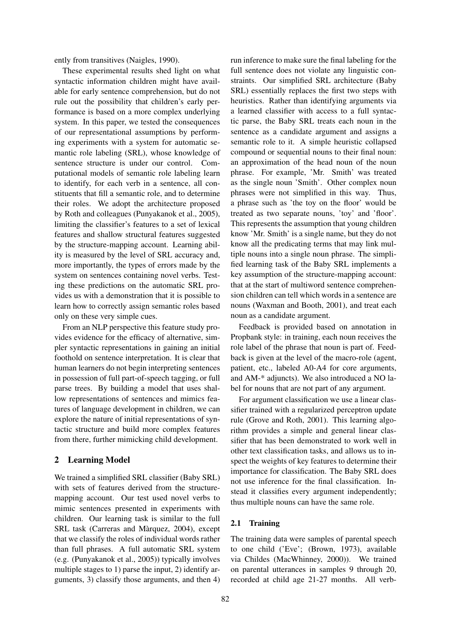ently from transitives (Naigles, 1990).

These experimental results shed light on what syntactic information children might have available for early sentence comprehension, but do not rule out the possibility that children's early performance is based on a more complex underlying system. In this paper, we tested the consequences of our representational assumptions by performing experiments with a system for automatic semantic role labeling (SRL), whose knowledge of sentence structure is under our control. Computational models of semantic role labeling learn to identify, for each verb in a sentence, all constituents that fill a semantic role, and to determine their roles. We adopt the architecture proposed by Roth and colleagues (Punyakanok et al., 2005), limiting the classifier's features to a set of lexical features and shallow structural features suggested by the structure-mapping account. Learning ability is measured by the level of SRL accuracy and, more importantly, the types of errors made by the system on sentences containing novel verbs. Testing these predictions on the automatic SRL provides us with a demonstration that it is possible to learn how to correctly assign semantic roles based only on these very simple cues.

From an NLP perspective this feature study provides evidence for the efficacy of alternative, simpler syntactic representations in gaining an initial foothold on sentence interpretation. It is clear that human learners do not begin interpreting sentences in possession of full part-of-speech tagging, or full parse trees. By building a model that uses shallow representations of sentences and mimics features of language development in children, we can explore the nature of initial representations of syntactic structure and build more complex features from there, further mimicking child development.

# 2 Learning Model

We trained a simplified SRL classifier (Baby SRL) with sets of features derived from the structuremapping account. Our test used novel verbs to mimic sentences presented in experiments with children. Our learning task is similar to the full SRL task (Carreras and Màrquez, 2004), except that we classify the roles of individual words rather than full phrases. A full automatic SRL system (e.g. (Punyakanok et al., 2005)) typically involves multiple stages to 1) parse the input, 2) identify arguments, 3) classify those arguments, and then 4)

run inference to make sure the final labeling for the full sentence does not violate any linguistic constraints. Our simplified SRL architecture (Baby SRL) essentially replaces the first two steps with heuristics. Rather than identifying arguments via a learned classifier with access to a full syntactic parse, the Baby SRL treats each noun in the sentence as a candidate argument and assigns a semantic role to it. A simple heuristic collapsed compound or sequential nouns to their final noun: an approximation of the head noun of the noun phrase. For example, 'Mr. Smith' was treated as the single noun 'Smith'. Other complex noun phrases were not simplified in this way. Thus, a phrase such as 'the toy on the floor' would be treated as two separate nouns, 'toy' and 'floor'. This represents the assumption that young children know 'Mr. Smith' is a single name, but they do not know all the predicating terms that may link multiple nouns into a single noun phrase. The simplified learning task of the Baby SRL implements a key assumption of the structure-mapping account: that at the start of multiword sentence comprehension children can tell which words in a sentence are nouns (Waxman and Booth, 2001), and treat each noun as a candidate argument.

Feedback is provided based on annotation in Propbank style: in training, each noun receives the role label of the phrase that noun is part of. Feedback is given at the level of the macro-role (agent, patient, etc., labeled A0-A4 for core arguments, and AM-\* adjuncts). We also introduced a NO label for nouns that are not part of any argument.

For argument classification we use a linear classifier trained with a regularized perceptron update rule (Grove and Roth, 2001). This learning algorithm provides a simple and general linear classifier that has been demonstrated to work well in other text classification tasks, and allows us to inspect the weights of key features to determine their importance for classification. The Baby SRL does not use inference for the final classification. Instead it classifies every argument independently; thus multiple nouns can have the same role.

# 2.1 Training

The training data were samples of parental speech to one child ('Eve'; (Brown, 1973), available via Childes (MacWhinney, 2000)). We trained on parental utterances in samples 9 through 20, recorded at child age 21-27 months. All verb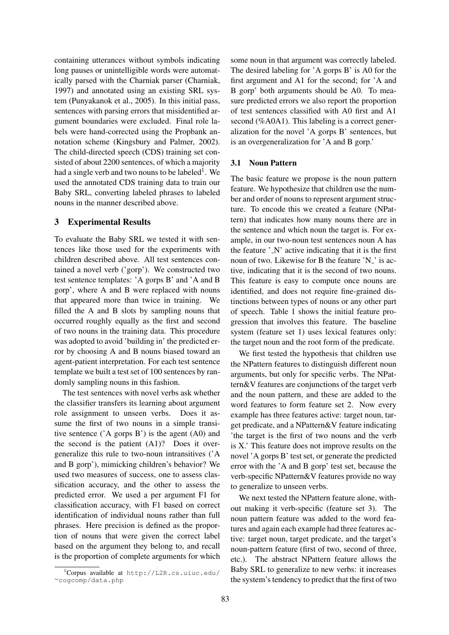containing utterances without symbols indicating long pauses or unintelligible words were automatically parsed with the Charniak parser (Charniak, 1997) and annotated using an existing SRL system (Punyakanok et al., 2005). In this initial pass, sentences with parsing errors that misidentified argument boundaries were excluded. Final role labels were hand-corrected using the Propbank annotation scheme (Kingsbury and Palmer, 2002). The child-directed speech (CDS) training set consisted of about 2200 sentences, of which a majority had a single verb and two nouns to be labeled $^1$ . We used the annotated CDS training data to train our Baby SRL, converting labeled phrases to labeled nouns in the manner described above.

### 3 Experimental Results

To evaluate the Baby SRL we tested it with sentences like those used for the experiments with children described above. All test sentences contained a novel verb ('gorp'). We constructed two test sentence templates: 'A gorps B' and 'A and B gorp', where A and B were replaced with nouns that appeared more than twice in training. We filled the A and B slots by sampling nouns that occurred roughly equally as the first and second of two nouns in the training data. This procedure was adopted to avoid 'building in' the predicted error by choosing A and B nouns biased toward an agent-patient interpretation. For each test sentence template we built a test set of 100 sentences by randomly sampling nouns in this fashion.

The test sentences with novel verbs ask whether the classifier transfers its learning about argument role assignment to unseen verbs. Does it assume the first of two nouns in a simple transitive sentence ('A gorps B') is the agent (A0) and the second is the patient (A1)? Does it overgeneralize this rule to two-noun intransitives ('A and B gorp'), mimicking children's behavior? We used two measures of success, one to assess classification accuracy, and the other to assess the predicted error. We used a per argument F1 for classification accuracy, with F1 based on correct identification of individual nouns rather than full phrases. Here precision is defined as the proportion of nouns that were given the correct label based on the argument they belong to, and recall is the proportion of complete arguments for which

some noun in that argument was correctly labeled. The desired labeling for 'A gorps B' is A0 for the first argument and A1 for the second; for 'A and B gorp' both arguments should be A0. To measure predicted errors we also report the proportion of test sentences classified with A0 first and A1 second (%A0A1). This labeling is a correct generalization for the novel 'A gorps B' sentences, but is an overgeneralization for 'A and B gorp.'

### 3.1 Noun Pattern

The basic feature we propose is the noun pattern feature. We hypothesize that children use the number and order of nouns to represent argument structure. To encode this we created a feature (NPattern) that indicates how many nouns there are in the sentence and which noun the target is. For example, in our two-noun test sentences noun A has the feature  $\Delta$  N' active indicating that it is the first noun of two. Likewise for B the feature 'N<sub>-</sub>' is active, indicating that it is the second of two nouns. This feature is easy to compute once nouns are identified, and does not require fine-grained distinctions between types of nouns or any other part of speech. Table 1 shows the initial feature progression that involves this feature. The baseline system (feature set 1) uses lexical features only: the target noun and the root form of the predicate.

We first tested the hypothesis that children use the NPattern features to distinguish different noun arguments, but only for specific verbs. The NPattern&V features are conjunctions of the target verb and the noun pattern, and these are added to the word features to form feature set 2. Now every example has three features active: target noun, target predicate, and a NPattern&V feature indicating 'the target is the first of two nouns and the verb is X.' This feature does not improve results on the novel 'A gorps B' test set, or generate the predicted error with the 'A and B gorp' test set, because the verb-specific NPattern&V features provide no way to generalize to unseen verbs.

We next tested the NPattern feature alone, without making it verb-specific (feature set 3). The noun pattern feature was added to the word features and again each example had three features active: target noun, target predicate, and the target's noun-pattern feature (first of two, second of three, etc.). The abstract NPattern feature allows the Baby SRL to generalize to new verbs: it increases the system's tendency to predict that the first of two

<sup>1</sup>Corpus available at http://L2R.cs.uiuc.edu/ <sup>∼</sup>cogcomp/data.php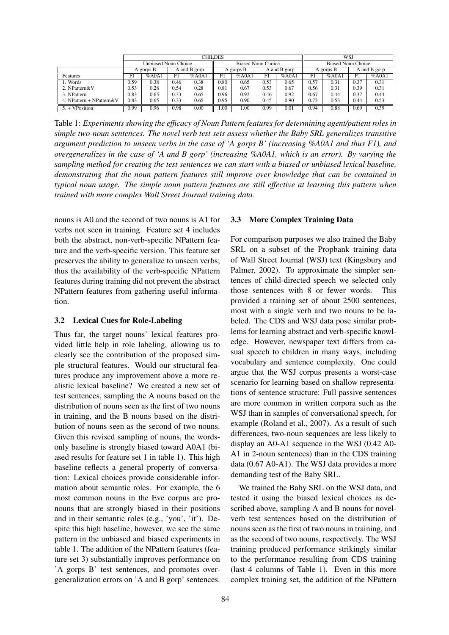|                          | CHILDES                     |           |      |                           |      |           | WSJ          |                           |           |       |              |       |
|--------------------------|-----------------------------|-----------|------|---------------------------|------|-----------|--------------|---------------------------|-----------|-------|--------------|-------|
|                          | <b>Unbiased Noun Choice</b> |           |      | <b>Biased Noun Choice</b> |      |           |              | <b>Biased Noun Choice</b> |           |       |              |       |
|                          |                             | A gorps B |      | A and B gorp              |      | A gorps B | A and B gorp |                           | A gorps B |       | A and B gorp |       |
| Features                 | F1                          | %AOA1     | F1   | %AOA1                     | F1   | %AOA1     | F1           | %AOA1                     | F1        | %AOA1 | F1           | %AOA1 |
| . Words                  | 0.59                        | 0.38      | 0.46 | 0.38                      | 0.80 | 0.65      | 0.53         | 0.65                      | 0.57      | 0.31  | 0.37         | 0.31  |
| 2. NPattern&V            | 0.53                        | 0.28      | 0.54 | 0.28                      | 0.81 | 0.67      | 0.53         | 0.67                      | 0.56      | 0.31  | 0.39         | 0.31  |
| 3. NPattern              | 0.83                        | 0.65      | 0.33 | 0.65                      | 0.96 | 0.92      | 0.46         | 0.92                      | 0.67      | 0.44  | 0.37         | 0.44  |
| 4. NPattern + NPattern&V | 0.83                        | 0.65      | 0.33 | 0.65                      | 0.95 | 0.90      | 0.45         | 0.90                      | 0.73      | 0.53  | 0.44         | 0.53  |
| $5. + VPosition$         | 0.99                        | 0.96      | 0.98 | $0.00\,$                  | .00  | 1.00      | 0.99         | 0.01                      | 0.94      | 0.88  | 0.69         | 0.39  |

Table 1: *Experiments showing the efficacy of Noun Pattern features for determining agent/patient roles in simple two-noun sentences. The novel verb test sets assess whether the Baby SRL generalizes transitive argument prediction to unseen verbs in the case of 'A gorps B' (increasing %A0A1 and thus F1), and overgeneralizes in the case of 'A and B gorp' (increasing %A0A1, which is an error). By varying the sampling method for creating the test sentences we can start with a biased or unbiased lexical baseline, demonstrating that the noun pattern features still improve over knowledge that can be contained in typical noun usage. The simple noun pattern features are still effective at learning this pattern when trained with more complex Wall Street Journal training data.*

nouns is A0 and the second of two nouns is A1 for verbs not seen in training. Feature set 4 includes both the abstract, non-verb-specific NPattern feature and the verb-specific version. This feature set preserves the ability to generalize to unseen verbs; thus the availability of the verb-specific NPattern features during training did not prevent the abstract NPattern features from gathering useful information.

## 3.2 Lexical Cues for Role-Labeling

Thus far, the target nouns' lexical features provided little help in role labeling, allowing us to clearly see the contribution of the proposed simple structural features. Would our structural features produce any improvement above a more realistic lexical baseline? We created a new set of test sentences, sampling the A nouns based on the distribution of nouns seen as the first of two nouns in training, and the B nouns based on the distribution of nouns seen as the second of two nouns. Given this revised sampling of nouns, the wordsonly baseline is strongly biased toward A0A1 (biased results for feature set 1 in table 1). This high baseline reflects a general property of conversation: Lexical choices provide considerable information about semantic roles. For example, the 6 most common nouns in the Eve corpus are pronouns that are strongly biased in their positions and in their semantic roles (e.g., 'you', 'it'). Despite this high baseline, however, we see the same pattern in the unbiased and biased experiments in table 1. The addition of the NPattern features (feature set 3) substantially improves performance on 'A gorps B' test sentences, and promotes overgeneralization errors on 'A and B gorp' sentences.

### 3.3 More Complex Training Data

For comparison purposes we also trained the Baby SRL on a subset of the Propbank training data of Wall Street Journal (WSJ) text (Kingsbury and Palmer, 2002). To approximate the simpler sentences of child-directed speech we selected only those sentences with 8 or fewer words. This provided a training set of about 2500 sentences, most with a single verb and two nouns to be labeled. The CDS and WSJ data pose similar problems for learning abstract and verb-specific knowledge. However, newspaper text differs from casual speech to children in many ways, including vocabulary and sentence complexity. One could argue that the WSJ corpus presents a worst-case scenario for learning based on shallow representations of sentence structure: Full passive sentences are more common in written corpora such as the WSJ than in samples of conversational speech, for example (Roland et al., 2007). As a result of such differences, two-noun sequences are less likely to display an A0-A1 sequence in the WSJ (0.42 A0- A1 in 2-noun sentences) than in the CDS training data (0.67 A0-A1). The WSJ data provides a more demanding test of the Baby SRL.

We trained the Baby SRL on the WSJ data, and tested it using the biased lexical choices as described above, sampling A and B nouns for novelverb test sentences based on the distribution of nouns seen as the first of two nouns in training, and as the second of two nouns, respectively. The WSJ training produced performance strikingly similar to the performance resulting from CDS training (last 4 columns of Table 1). Even in this more complex training set, the addition of the NPattern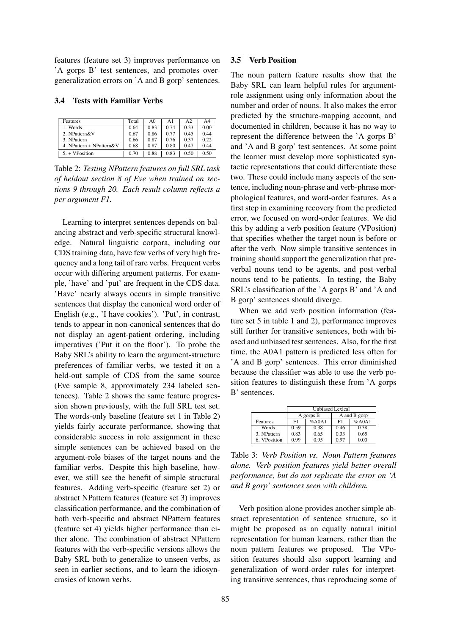features (feature set 3) improves performance on 'A gorps B' test sentences, and promotes overgeneralization errors on 'A and B gorp' sentences.

#### 3.4 Tests with Familiar Verbs

| Features                 | Total | A0   | Αl   | A <sub>2</sub> | A4   |
|--------------------------|-------|------|------|----------------|------|
| 1. Words                 | 0.64  | 0.83 | 0.74 | 0.33           | 0.00 |
| 2. NPattern&V            | 0.67  | 0.86 | 0.77 | 0.45           | 0.44 |
| 3. NPattern              | 0.66  | 0.87 | 0.76 | 0.37           | 0.22 |
| 4. NPattern + NPattern&V | 0.68  | 0.87 | 0.80 | 0.47           | 0.44 |
| $5. + VPosition$         | 0.70  | 0.88 | 0.83 | 0.50           | 0.50 |

Table 2: *Testing NPattern features on full SRL task of heldout section 8 of Eve when trained on sections 9 through 20. Each result column reflects a per argument F1.*

Learning to interpret sentences depends on balancing abstract and verb-specific structural knowledge. Natural linguistic corpora, including our CDS training data, have few verbs of very high frequency and a long tail of rare verbs. Frequent verbs occur with differing argument patterns. For example, 'have' and 'put' are frequent in the CDS data. 'Have' nearly always occurs in simple transitive sentences that display the canonical word order of English (e.g., 'I have cookies'). 'Put', in contrast, tends to appear in non-canonical sentences that do not display an agent-patient ordering, including imperatives ('Put it on the floor'). To probe the Baby SRL's ability to learn the argument-structure preferences of familiar verbs, we tested it on a held-out sample of CDS from the same source (Eve sample 8, approximately 234 labeled sentences). Table 2 shows the same feature progression shown previously, with the full SRL test set. The words-only baseline (feature set 1 in Table 2) yields fairly accurate performance, showing that considerable success in role assignment in these simple sentences can be achieved based on the argument-role biases of the target nouns and the familiar verbs. Despite this high baseline, however, we still see the benefit of simple structural features. Adding verb-specific (feature set 2) or abstract NPattern features (feature set 3) improves classification performance, and the combination of both verb-specific and abstract NPattern features (feature set 4) yields higher performance than either alone. The combination of abstract NPattern features with the verb-specific versions allows the Baby SRL both to generalize to unseen verbs, as seen in earlier sections, and to learn the idiosyncrasies of known verbs.

### 3.5 Verb Position

The noun pattern feature results show that the Baby SRL can learn helpful rules for argumentrole assignment using only information about the number and order of nouns. It also makes the error predicted by the structure-mapping account, and documented in children, because it has no way to represent the difference between the 'A gorps B' and 'A and B gorp' test sentences. At some point the learner must develop more sophisticated syntactic representations that could differentiate these two. These could include many aspects of the sentence, including noun-phrase and verb-phrase morphological features, and word-order features. As a first step in examining recovery from the predicted error, we focused on word-order features. We did this by adding a verb position feature (VPosition) that specifies whether the target noun is before or after the verb. Now simple transitive sentences in training should support the generalization that preverbal nouns tend to be agents, and post-verbal nouns tend to be patients. In testing, the Baby SRL's classification of the 'A gorps B' and 'A and B gorp' sentences should diverge.

When we add verb position information (feature set 5 in table 1 and 2), performance improves still further for transitive sentences, both with biased and unbiased test sentences. Also, for the first time, the A0A1 pattern is predicted less often for 'A and B gorp' sentences. This error diminished because the classifier was able to use the verb position features to distinguish these from 'A gorps B' sentences.

|              | <b>Unbiased Lexical</b> |           |              |       |  |  |  |  |
|--------------|-------------------------|-----------|--------------|-------|--|--|--|--|
|              |                         | A gorps B | A and B gorp |       |  |  |  |  |
| Features     | F1                      | %AA1      | F1           | %AOA1 |  |  |  |  |
| 1. Words     | 0.59                    | 0.38      | 0.46         | 0.38  |  |  |  |  |
| 3. NPattern  | 0.83                    | 0.65      | 0.33         | 0.65  |  |  |  |  |
| 6. VPosition | 0.99                    | 0.95      | 0.97         | 0.00  |  |  |  |  |

Table 3: *Verb Position vs. Noun Pattern features alone. Verb position features yield better overall performance, but do not replicate the error on 'A and B gorp' sentences seen with children.*

Verb position alone provides another simple abstract representation of sentence structure, so it might be proposed as an equally natural initial representation for human learners, rather than the noun pattern features we proposed. The VPosition features should also support learning and generalization of word-order rules for interpreting transitive sentences, thus reproducing some of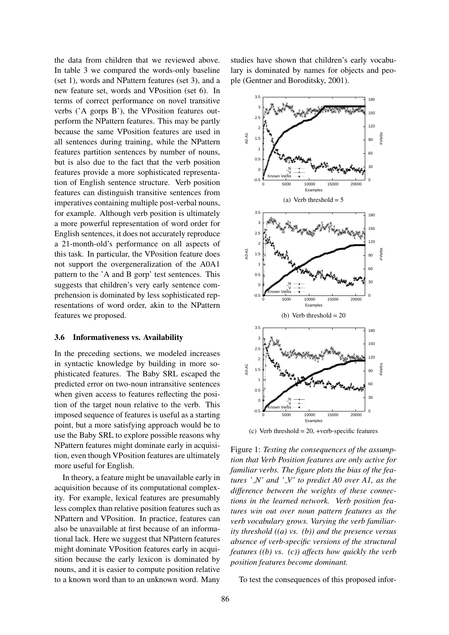the data from children that we reviewed above. In table 3 we compared the words-only baseline (set 1), words and NPattern features (set 3), and a new feature set, words and VPosition (set 6). In terms of correct performance on novel transitive verbs ('A gorps B'), the VPosition features outperform the NPattern features. This may be partly because the same VPosition features are used in all sentences during training, while the NPattern features partition sentences by number of nouns, but is also due to the fact that the verb position features provide a more sophisticated representation of English sentence structure. Verb position features can distinguish transitive sentences from imperatives containing multiple post-verbal nouns, for example. Although verb position is ultimately a more powerful representation of word order for English sentences, it does not accurately reproduce a 21-month-old's performance on all aspects of this task. In particular, the VPosition feature does not support the overgeneralization of the A0A1 pattern to the 'A and B gorp' test sentences. This suggests that children's very early sentence comprehension is dominated by less sophisticated representations of word order, akin to the NPattern features we proposed.

#### 3.6 Informativeness vs. Availability

In the preceding sections, we modeled increases in syntactic knowledge by building in more sophisticated features. The Baby SRL escaped the predicted error on two-noun intransitive sentences when given access to features reflecting the position of the target noun relative to the verb. This imposed sequence of features is useful as a starting point, but a more satisfying approach would be to use the Baby SRL to explore possible reasons why NPattern features might dominate early in acquisition, even though VPosition features are ultimately more useful for English.

In theory, a feature might be unavailable early in acquisition because of its computational complexity. For example, lexical features are presumably less complex than relative position features such as NPattern and VPosition. In practice, features can also be unavailable at first because of an informational lack. Here we suggest that NPattern features might dominate VPosition features early in acquisition because the early lexicon is dominated by nouns, and it is easier to compute position relative to a known word than to an unknown word. Many

studies have shown that children's early vocabulary is dominated by names for objects and people (Gentner and Boroditsky, 2001).



(c) Verb threshold  $= 20$ , +verb-specific features

Figure 1: *Testing the consequences of the assumption that Verb Position features are only active for familiar verbs. The figure plots the bias of the features ' N' and ' V' to predict A0 over A1, as the difference between the weights of these connections in the learned network. Verb position features win out over noun pattern features as the verb vocabulary grows. Varying the verb familiarity threshold ((a) vs. (b)) and the presence versus absence of verb-specific versions of the structural features ((b) vs. (c)) affects how quickly the verb position features become dominant.*

To test the consequences of this proposed infor-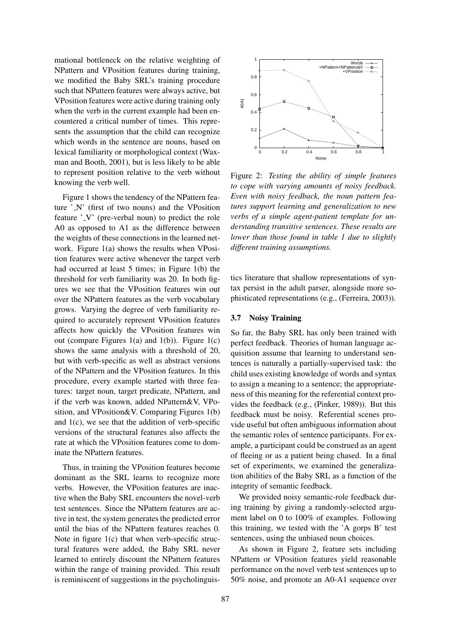mational bottleneck on the relative weighting of NPattern and VPosition features during training, we modified the Baby SRL's training procedure such that NPattern features were always active, but VPosition features were active during training only when the verb in the current example had been encountered a critical number of times. This represents the assumption that the child can recognize which words in the sentence are nouns, based on lexical familiarity or morphological context (Waxman and Booth, 2001), but is less likely to be able to represent position relative to the verb without knowing the verb well.

Figure 1 shows the tendency of the NPattern feature  $' N'$  (first of two nouns) and the VPosition feature '\_V' (pre-verbal noun) to predict the role A0 as opposed to A1 as the difference between the weights of these connections in the learned network. Figure 1(a) shows the results when VPosition features were active whenever the target verb had occurred at least 5 times; in Figure 1(b) the threshold for verb familiarity was 20. In both figures we see that the VPosition features win out over the NPattern features as the verb vocabulary grows. Varying the degree of verb familiarity required to accurately represent VPosition features affects how quickly the VPosition features win out (compare Figures 1(a) and 1(b)). Figure 1(c) shows the same analysis with a threshold of 20, but with verb-specific as well as abstract versions of the NPattern and the VPosition features. In this procedure, every example started with three features: target noun, target predicate, NPattern, and if the verb was known, added NPattern&V, VPosition, and VPosition&V. Comparing Figures 1(b) and  $1(c)$ , we see that the addition of verb-specific versions of the structural features also affects the rate at which the VPosition features come to dominate the NPattern features.

Thus, in training the VPosition features become dominant as the SRL learns to recognize more verbs. However, the VPosition features are inactive when the Baby SRL encounters the novel-verb test sentences. Since the NPattern features are active in test, the system generates the predicted error until the bias of the NPattern features reaches 0. Note in figure 1(c) that when verb-specific structural features were added, the Baby SRL never learned to entirely discount the NPattern features within the range of training provided. This result is reminiscent of suggestions in the psycholinguis-



Figure 2: *Testing the ability of simple features to cope with varying amounts of noisy feedback. Even with noisy feedback, the noun pattern features support learning and generalization to new verbs of a simple agent-patient template for understanding transitive sentences. These results are lower than those found in table 1 due to slightly different training assumptions.*

tics literature that shallow representations of syntax persist in the adult parser, alongside more sophisticated representations (e.g., (Ferreira, 2003)).

#### 3.7 Noisy Training

So far, the Baby SRL has only been trained with perfect feedback. Theories of human language acquisition assume that learning to understand sentences is naturally a partially-supervised task: the child uses existing knowledge of words and syntax to assign a meaning to a sentence; the appropriateness of this meaning for the referential context provides the feedback (e.g., (Pinker, 1989)). But this feedback must be noisy. Referential scenes provide useful but often ambiguous information about the semantic roles of sentence participants. For example, a participant could be construed as an agent of fleeing or as a patient being chased. In a final set of experiments, we examined the generalization abilities of the Baby SRL as a function of the integrity of semantic feedback.

We provided noisy semantic-role feedback during training by giving a randomly-selected argument label on 0 to 100% of examples. Following this training, we tested with the 'A gorps B' test sentences, using the unbiased noun choices.

As shown in Figure 2, feature sets including NPattern or VPosition features yield reasonable performance on the novel verb test sentences up to 50% noise, and promote an A0-A1 sequence over